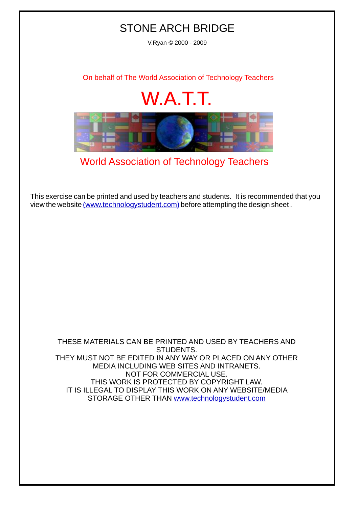## STONE ARCH BRIDGE

V.Ryan © 2000 - 2009

[On behalf of The World Association of Technology Teachers](http://www.technologystudent.com)

## W.A.T.T.



[World Association of Technology Teachers](http://www.technologystudent.com)

[This exercise can be printed and used by teachers and students. It is recommended that you](http://www.technologystudent.com/designpro/drawdex.htm) view the website [\(www.technologystudent.com\)](http://www.technologystudent.com) before attempting the design sheet .

THESE MATERIALS CAN BE PRINTED AND USED BY TEACHERS AND STUDENTS. THEY MUST NOT BE EDITED IN ANY WAY OR PLACED ON ANY OTHER MEDIA INCLUDING WEB SITES AND INTRANETS. NOT FOR COMMERCIAL USE. THIS WORK IS PROTECTED BY COPYRIGHT LAW. IT IS ILLEGAL TO DISPLAY THIS WORK ON ANY WEBSITE/MEDIA STORAGE OTHER THAN [www.technologystudent.com](http://www.technologystudent.com)